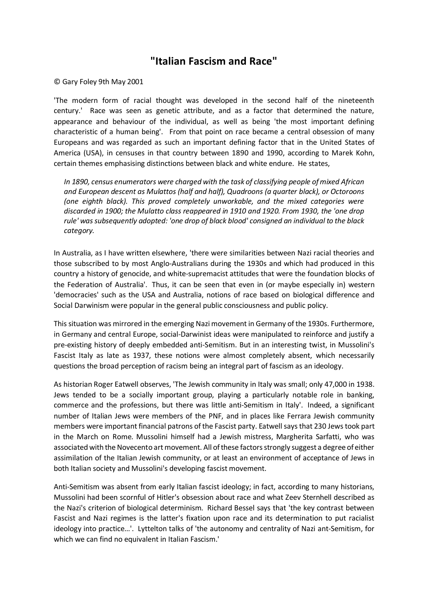## **"Italian Fascism and Race"**

## © Gary Foley 9th May 2001

'The modern form of racial thought was developed in the second half of the nineteenth century.' Race was seen as genetic attribute, and as a factor that determined the nature, appearance and behaviour of the individual, as well as being 'the most important defining characteristic of a human being'. From that point on race became a central obsession of many Europeans and was regarded as such an important defining factor that in the United States of America (USA), in censuses in that country between 1890 and 1990, according to Marek Kohn, certain themes emphasising distinctions between black and white endure. He states,

*In 1890, census enumerators were charged with the task of classifying people of mixed African and European descent as Mulattos (half and half), Quadroons (a quarter black), or Octoroons (one eighth black). This proved completely unworkable, and the mixed categories were discarded in 1900; the Mulatto class reappeared in 1910 and 1920. From 1930, the 'one drop rule' was subsequently adopted: 'one drop of black blood' consigned an individual to the black category.*

In Australia, as I have written elsewhere, 'there were similarities between Nazi racial theories and those subscribed to by most Anglo-Australians during the 1930s and which had produced in this country a history of genocide, and white-supremacist attitudes that were the foundation blocks of the Federation of Australia'. Thus, it can be seen that even in (or maybe especially in) western 'democracies' such as the USA and Australia, notions of race based on biological difference and Social Darwinism were popular in the general public consciousness and public policy.

This situation was mirrored in the emerging Nazi movement in Germany of the 1930s. Furthermore, in Germany and central Europe, social-Darwinist ideas were manipulated to reinforce and justify a pre-existing history of deeply embedded anti-Semitism. But in an interesting twist, in Mussolini's Fascist Italy as late as 1937, these notions were almost completely absent, which necessarily questions the broad perception of racism being an integral part of fascism as an ideology.

As historian Roger Eatwell observes, 'The Jewish community in Italy was small; only 47,000 in 1938. Jews tended to be a socially important group, playing a particularly notable role in banking, commerce and the professions, but there was little anti-Semitism in Italy'. Indeed, a significant number of Italian Jews were members of the PNF, and in places like Ferrara Jewish community members were important financial patrons of the Fascist party. Eatwell says that 230 Jews took part in the March on Rome. Mussolini himself had a Jewish mistress, Margherita Sarfatti, who was associated with the Novecento art movement. All of these factors strongly suggest a degree of either assimilation of the Italian Jewish community, or at least an environment of acceptance of Jews in both Italian society and Mussolini's developing fascist movement.

Anti-Semitism was absent from early Italian fascist ideology; in fact, according to many historians, Mussolini had been scornful of Hitler's obsession about race and what Zeev Sternhell described as the Nazi's criterion of biological determinism. Richard Bessel says that 'the key contrast between Fascist and Nazi regimes is the latter's fixation upon race and its determination to put racialist ideology into practice…'. Lyttelton talks of 'the autonomy and centrality of Nazi ant-Semitism, for which we can find no equivalent in Italian Fascism.'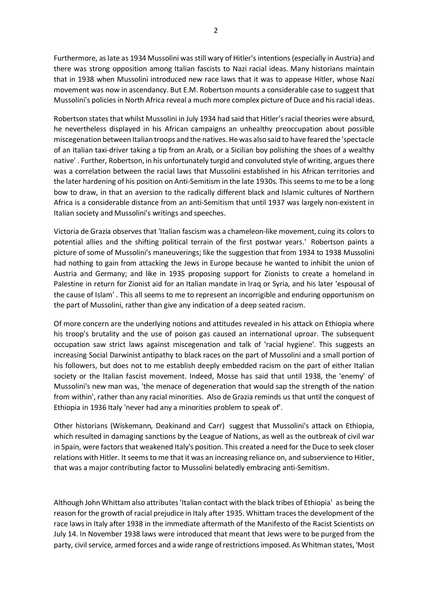Furthermore, as late as 1934 Mussolini was still wary of Hitler's intentions (especially in Austria) and there was strong opposition among Italian fascists to Nazi racial ideas. Many historians maintain that in 1938 when Mussolini introduced new race laws that it was to appease Hitler, whose Nazi movement was now in ascendancy. But E.M. Robertson mounts a considerable case to suggest that Mussolini's policies in North Africa reveal a much more complex picture of Duce and his racial ideas.

Robertson states that whilst Mussolini in July 1934 had said that Hitler's racial theories were absurd, he nevertheless displayed in his African campaigns an unhealthy preoccupation about possible miscegenation between Italian troops and the natives. He was also said to have feared the 'spectacle of an Italian taxi-driver taking a tip from an Arab, or a Sicilian boy polishing the shoes of a wealthy native' . Further, Robertson, in his unfortunately turgid and convoluted style of writing, argues there was a correlation between the racial laws that Mussolini established in his African territories and the later hardening of his position on Anti-Semitism in the late 1930s. This seems to me to be a long bow to draw, in that an aversion to the radically different black and Islamic cultures of Northern Africa is a considerable distance from an anti-Semitism that until 1937 was largely non-existent in Italian society and Mussolini's writings and speeches.

Victoria de Grazia observes that 'Italian fascism was a chameleon-like movement, cuing its colors to potential allies and the shifting political terrain of the first postwar years.' Robertson paints a picture of some of Mussolini's maneuverings; like the suggestion that from 1934 to 1938 Mussolini had nothing to gain from attacking the Jews in Europe because he wanted to inhibit the union of Austria and Germany; and like in 1935 proposing support for Zionists to create a homeland in Palestine in return for Zionist aid for an Italian mandate in Iraq or Syria, and his later 'espousal of the cause of Islam' . This all seems to me to represent an incorrigible and enduring opportunism on the part of Mussolini, rather than give any indication of a deep seated racism.

Of more concern are the underlying notions and attitudes revealed in his attack on Ethiopia where his troop's brutality and the use of poison gas caused an international uproar. The subsequent occupation saw strict laws against miscegenation and talk of 'racial hygiene'. This suggests an increasing Social Darwinist antipathy to black races on the part of Mussolini and a small portion of his followers, but does not to me establish deeply embedded racism on the part of either Italian society or the Italian fascist movement. Indeed, Mosse has said that until 1938, the 'enemy' of Mussolini's new man was, 'the menace of degeneration that would sap the strength of the nation from within', rather than any racial minorities. Also de Grazia reminds us that until the conquest of Ethiopia in 1936 Italy 'never had any a minorities problem to speak of'.

Other historians (Wiskemann, Deakinand and Carr) suggest that Mussolini's attack on Ethiopia, which resulted in damaging sanctions by the League of Nations, as well as the outbreak of civil war in Spain, were factors that weakened Italy's position. This created a need for the Duce to seek closer relations with Hitler. It seems to me that it was an increasing reliance on, and subservience to Hitler, that was a major contributing factor to Mussolini belatedly embracing anti-Semitism.

Although John Whittam also attributes 'Italian contact with the black tribes of Ethiopia' as being the reason for the growth of racial prejudice in Italy after 1935. Whittam traces the development of the race laws in Italy after 1938 in the immediate aftermath of the Manifesto of the Racist Scientists on July 14. In November 1938 laws were introduced that meant that Jews were to be purged from the party, civil service, armed forces and a wide range of restrictions imposed. As Whitman states, 'Most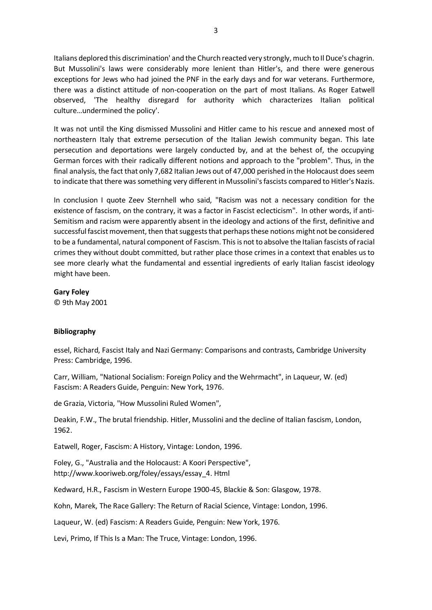Italians deplored this discrimination' and the Church reacted very strongly, much to Il Duce's chagrin. But Mussolini's laws were considerably more lenient than Hitler's, and there were generous exceptions for Jews who had joined the PNF in the early days and for war veterans. Furthermore, there was a distinct attitude of non-cooperation on the part of most Italians. As Roger Eatwell observed, 'The healthy disregard for authority which characterizes Italian political culture…undermined the policy'.

It was not until the King dismissed Mussolini and Hitler came to his rescue and annexed most of northeastern Italy that extreme persecution of the Italian Jewish community began. This late persecution and deportations were largely conducted by, and at the behest of, the occupying German forces with their radically different notions and approach to the "problem". Thus, in the final analysis, the fact that only 7,682 Italian Jews out of 47,000 perished in the Holocaust does seem to indicate that there was something very different in Mussolini's fascists compared to Hitler's Nazis.

In conclusion I quote Zeev Sternhell who said, "Racism was not a necessary condition for the existence of fascism, on the contrary, it was a factor in Fascist eclecticism". In other words, if anti-Semitism and racism were apparently absent in the ideology and actions of the first, definitive and successful fascist movement, then that suggests that perhaps these notions might not be considered to be a fundamental, natural component of Fascism. This is not to absolve the Italian fascists of racial crimes they without doubt committed, but rather place those crimes in a context that enables us to see more clearly what the fundamental and essential ingredients of early Italian fascist ideology might have been.

**Gary Foley**

© 9th May 2001

## **Bibliography**

essel, Richard, Fascist Italy and Nazi Germany: Comparisons and contrasts, Cambridge University Press: Cambridge, 1996.

Carr, William, "National Socialism: Foreign Policy and the Wehrmacht", in Laqueur, W. (ed) Fascism: A Readers Guide, Penguin: New York, 1976.

de Grazia, Victoria, "How Mussolini Ruled Women",

Deakin, F.W., The brutal friendship. Hitler, Mussolini and the decline of Italian fascism, London, 1962.

Eatwell, Roger, Fascism: A History, Vintage: London, 1996.

Foley, G., "Australia and the Holocaust: A Koori Perspective", http://www.kooriweb.org/foley/essays/essay\_4. Html

Kedward, H.R., Fascism in Western Europe 1900-45, Blackie & Son: Glasgow, 1978.

Kohn, Marek, The Race Gallery: The Return of Racial Science, Vintage: London, 1996.

Laqueur, W. (ed) Fascism: A Readers Guide, Penguin: New York, 1976.

Levi, Primo, If This Is a Man: The Truce, Vintage: London, 1996.